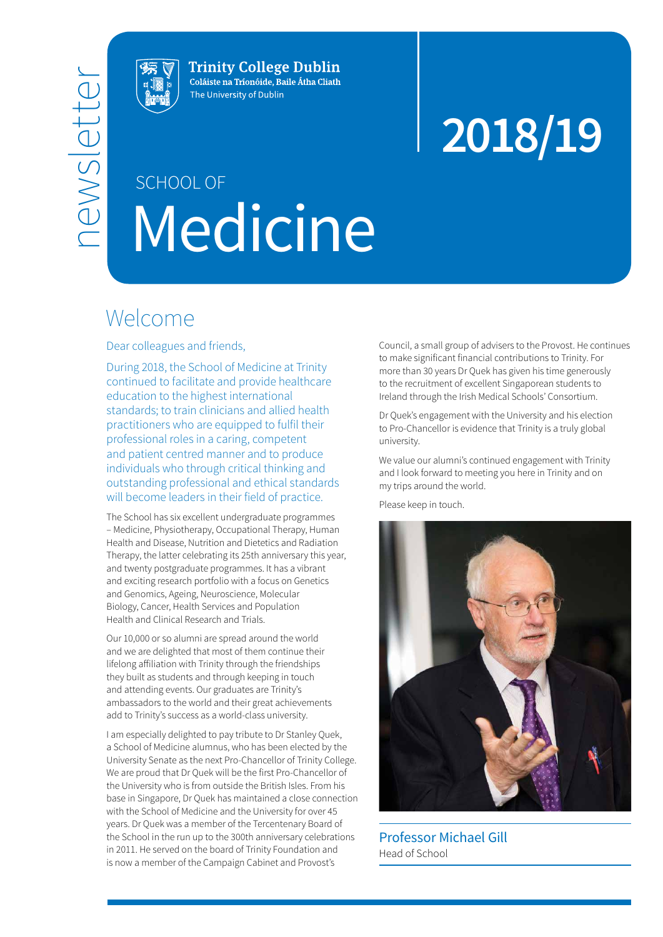

**Trinity College Dublin** Coláiste na Tríonóide, Baile Átha Cliath The University of Dublin

# **2018/19**

# Medicine SCHOOL OF

### Welcome

Dear colleagues and friends,

During 2018, the School of Medicine at Trinity continued to facilitate and provide healthcare education to the highest international standards; to train clinicians and allied health practitioners who are equipped to fulfil their professional roles in a caring, competent and patient centred manner and to produce individuals who through critical thinking and outstanding professional and ethical standards will become leaders in their field of practice.

The School has six excellent undergraduate programmes – Medicine, Physiotherapy, Occupational Therapy, Human Health and Disease, Nutrition and Dietetics and Radiation Therapy, the latter celebrating its 25th anniversary this year, and twenty postgraduate programmes. It has a vibrant and exciting research portfolio with a focus on Genetics and Genomics, Ageing, Neuroscience, Molecular Biology, Cancer, Health Services and Population Health and Clinical Research and Trials.

Our 10,000 or so alumni are spread around the world and we are delighted that most of them continue their lifelong affiliation with Trinity through the friendships they built as students and through keeping in touch and attending events. Our graduates are Trinity's ambassadors to the world and their great achievements add to Trinity's success as a world-class university.

I am especially delighted to pay tribute to Dr Stanley Quek, a School of Medicine alumnus, who has been elected by the University Senate as the next Pro-Chancellor of Trinity College. We are proud that Dr Quek will be the first Pro-Chancellor of the University who is from outside the British Isles. From his base in Singapore, Dr Quek has maintained a close connection with the School of Medicine and the University for over 45 years. Dr Quek was a member of the Tercentenary Board of the School in the run up to the 300th anniversary celebrations in 2011. He served on the board of Trinity Foundation and is now a member of the Campaign Cabinet and Provost's

Council, a small group of advisers to the Provost. He continues to make significant financial contributions to Trinity. For more than 30 years Dr Quek has given his time generously to the recruitment of excellent Singaporean students to Ireland through the Irish Medical Schools' Consortium.

Dr Quek's engagement with the University and his election to Pro-Chancellor is evidence that Trinity is a truly global university.

We value our alumni's continued engagement with Trinity and I look forward to meeting you here in Trinity and on my trips around the world.

Please keep in touch.



Professor Michael Gill Head of School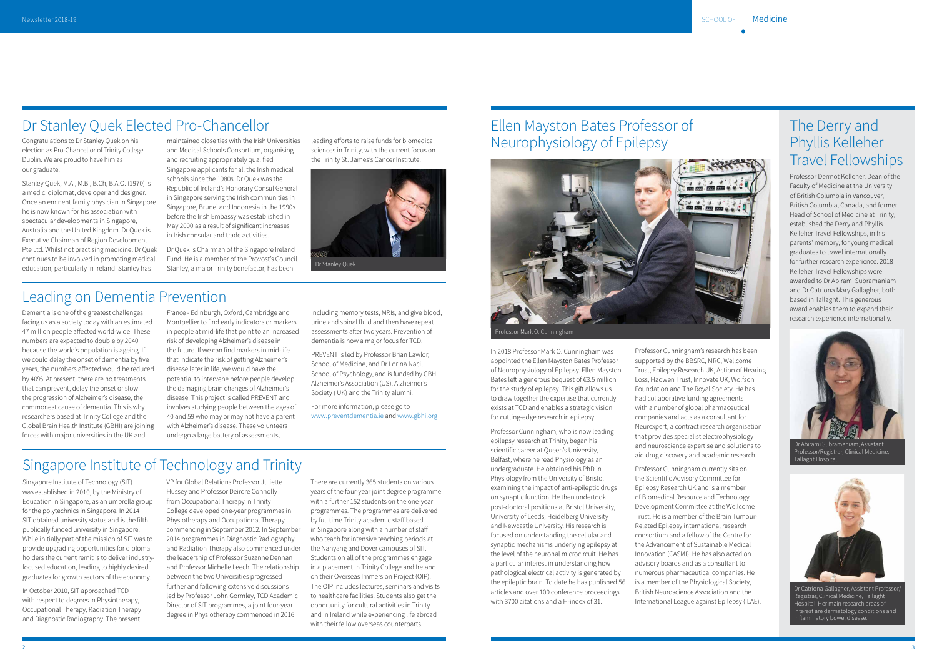#### Dr Stanley Quek Elected Pro-Chancellor

Congratulations to Dr Stanley Quek on his election as Pro-Chancellor of Trinity College Dublin. We are proud to have him as our graduate.

Stanley Quek, M.A., M.B., B.Ch, B.A.O. (1970) is a medic, diplomat, developer and designer. Once an eminent family physician in Singapore he is now known for his association with spectacular developments in Singapore, Australia and the United Kingdom. Dr Quek is Executive Chairman of Region Development Pte Ltd. Whilst not practising medicine, Dr Quek continues to be involved in promoting medical education, particularly in Ireland. Stanley has

maintained close ties with the Irish Universities and Medical Schools Consortium, organising and recruiting appropriately qualified Singapore applicants for all the Irish medical schools since the 1980s. Dr Quek was the Republic of Ireland's Honorary Consul General in Singapore serving the Irish communities in Singapore, Brunei and Indonesia in the 1990s before the Irish Embassy was established in May 2000 as a result of significant increases in Irish consular and trade activities.

Dr Quek is Chairman of the Singapore Ireland Fund. He is a member of the Provost's Council. Stanley, a major Trinity benefactor, has been

leading efforts to raise funds for biomedical sciences in Trinity, with the current focus on the Trinity St. James's Cancer Institute.

#### Singapore Institute of Technology and Trinity

Singapore Institute of Technology (SIT) was established in 2010, by the Ministry of Education in Singapore, as an umbrella group for the polytechnics in Singapore. In 2014 SIT obtained university status and is the fifth publically funded university in Singapore. While initially part of the mission of SIT was to provide upgrading opportunities for diploma holders the current remit is to deliver industryfocused education, leading to highly desired graduates for growth sectors of the economy.

In October 2010, SIT approached TCD with respect to degrees in Physiotherapy, Occupational Therapy, Radiation Therapy and Diagnostic Radiography. The present

VP for Global Relations Professor Juliette Hussey and Professor Deirdre Connolly from Occupational Therapy in Trinity College developed one-year programmes in Physiotherapy and Occupational Therapy commencing in September 2012. In September 2014 programmes in Diagnostic Radiography and Radiation Therapy also commenced under the leadership of Professor Suzanne Dennan and Professor Michelle Leech. The relationship between the two Universities progressed further and following extensive discussions led by Professor John Gormley, TCD Academic Director of SIT programmes, a joint four-year degree in Physiotherapy commenced in 2016.

There are currently 365 students on various years of the four-year joint degree programme with a further 152 students on the one-year programmes. The programmes are delivered by full time Trinity academic staff based in Singapore along with a number of staff who teach for intensive teaching periods at the Nanyang and Dover campuses of SIT. Students on all of the programmes engage in a placement in Trinity College and Ireland on their Overseas Immersion Project (OIP). The OIP includes lectures, seminars and visits to healthcare facilities. Students also get the opportunity for cultural activities in Trinity and in Ireland while experiencing life abroad with their fellow overseas counterparts.

#### Leading on Dementia Prevention

Dementia is one of the greatest challenges facing us as a society today with an estimated 47 million people affected world-wide. These numbers are expected to double by 2040 because the world's population is ageing. If we could delay the onset of dementia by five years, the numbers affected would be reduced by 40%. At present, there are no treatments that can prevent, delay the onset or slow the progression of Alzheimer's disease, the commonest cause of dementia. This is why researchers based at Trinity College and the Global Brain Health Institute (GBHI) are joining forces with major universities in the UK and

France - Edinburgh, Oxford, Cambridge and Montpellier to find early indicators or markers in people at mid-life that point to an increased risk of developing Alzheimer's disease in the future. If we can find markers in mid-life that indicate the risk of getting Alzheimer's disease later in life, we would have the potential to intervene before people develop the damaging brain changes of Alzheimer's disease. This project is called PREVENT and involves studying people between the ages of 40 and 59 who may or may not have a parent with Alzheimer's disease. These volunteers undergo a large battery of assessments,

including memory tests, MRIs, and give blood, urine and spinal fluid and then have repeat assessments after two years. Prevention of dementia is now a major focus for TCD.

PREVENT is led by Professor Brian Lawlor, School of Medicine, and Dr Lorina Naci, School of Psychology, and is funded by GBHI, Alzheimer's Association (US), Alzheimer's Society ( UK) and the Trinity alumni.

For more information, please go to [www.preventdementia.ie](http://www.preventdementia.ie) and [www.gbhi.org](https://www.gbhi.org/)

Dr Stanley Quek

#### Ellen Mayston Bates Professor of Neurophysiology of Epilepsy

In 2018 Professor Mark O. Cunningham was appointed the Ellen Mayston Bates Professor of Neurophysiology of Epilepsy. Ellen Mayston Bates left a generous bequest of €3.5 million for the study of epilepsy. This gift allows us to draw together the expertise that currently exists at TCD and enables a strategic vision for cutting-edge research in epilepsy.

Professor Cunningham, who is now leading epilepsy research at Trinity, began his scientific career at Queen's University, Belfast, where he read Physiology as an undergraduate. He obtained his PhD in Physiology from the University of Bristol examining the impact of anti-epileptic drugs on synaptic function. He then undertook post-doctoral positions at Bristol University, University of Leeds, Heidelberg University and Newcastle University. His research is focused on understanding the cellular and synaptic mechanisms underlying epilepsy at the level of the neuronal microcircuit. He has a particular interest in understanding how pathological electrical activity is generated by the epileptic brain. To date he has published 56 articles and over 100 conference proceedings with 3700 citations and a H-index of 31.

Professor Cunningham's research has been supported by the BBSRC, MRC, Wellcome Trust, Epilepsy Research UK, Action of Hearing Loss, Hadwen Trust, Innovate UK, Wolfson Foundation and The Royal Society. He has had collaborative funding agreements with a number of global pharmaceutical companies and acts as a consultant for Neurexpert, a contract research organisation that provides specialist electrophysiology and neuroscience expertise and solutions to aid drug discovery and academic research.

Professor Cunningham currently sits on the Scientific Advisory Committee for Epilepsy Research UK and is a member of Biomedical Resource and Technology Development Committee at the Wellcome Trust. He is a member of the Brain Tumour-Related Epilepsy international research consortium and a fellow of the Centre for the Advancement of Sustainable Medical Innovation (CASMI). He has also acted on advisory boards and as a consultant to numerous pharmaceutical companies. He is a member of the Physiological Society, British Neuroscience Association and the International League against Epilepsy (ILAE).



#### The Derry and Phyllis Kelleher Travel Fellowships

Professor Dermot Kelleher, Dean of the Faculty of Medicine at the University of British Columbia in Vancouver, British Columbia, Canada, and former Head of School of Medicine at Trinity, established the Derry and Phyllis Kelleher Travel Fellowships, in his parents' memory, for young medical graduates to travel internationally for further research experience. 2018 Kelleher Travel Fellowships were awarded to Dr Abirami Subramaniam and Dr Catriona Mary Gallagher, both based in Tallaght. This generous award enables them to expand their research experience internationally.



Dr Catriona Gallagher, Assistant Professor/ Registrar, Clinical Medicine, Tallaght lospital. Her main research areas of interest are dermatology conditions and inflammatory bowel disease.

Dr Abirami Subramaniam, Assistant Professor/Registrar, Clinical Medicine, Tallaght Hospital.

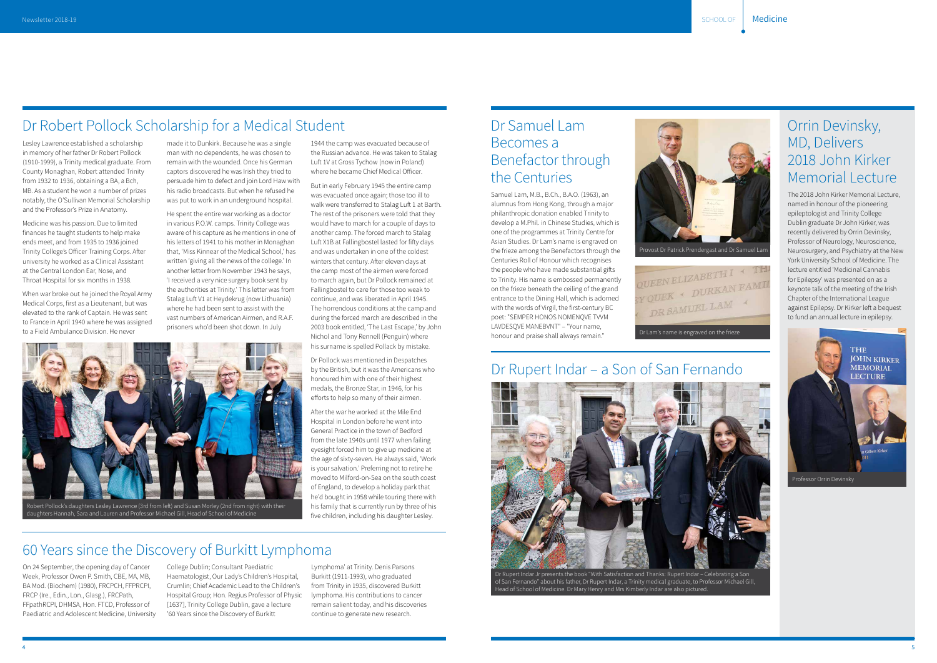

Lesley Lawrence established a scholarship in memory of her father Dr Robert Pollock (1910-1999), a Trinity medical graduate. From County Monaghan, Robert attended Trinity from 1932 to 1936, obtaining a BA, a Bch, MB. As a student he won a number of prizes notably, the O'Sullivan Memorial Scholarship and the Professor's Prize in Anatomy.

Medicine was his passion. Due to limited finances he taught students to help make ends meet, and from 1935 to 1936 joined Trinity College's Officer Training Corps. After university he worked as a Clinical Assistant at the Central London Ear, Nose, and Throat Hospital for six months in 1938.

When war broke out he joined the Royal Army Medical Corps, first as a Lieutenant, but was elevated to the rank of Captain. He was sent to France in April 1940 where he was assigned to a Field Ambulance Division. He never

made it to Dunkirk. Because he was a single man with no dependents, he was chosen to remain with the wounded. Once his German captors discovered he was Irish they tried to persuade him to defect and join Lord Haw with his radio broadcasts. But when he refused he was put to work in an underground hospital.

He spent the entire war working as a doctor in various P.O.W. camps. Trinity College was aware of his capture as he mentions in one of his letters of 1941 to his mother in Monaghan that, 'Miss Kinnear of the Medical School,' has written 'giving all the news of the college.' In another letter from November 1943 he says, 'I received a very nice surgery book sent by the authorities at Trinity.' This letter was from Stalag Luft V1 at Heydekrug (now Lithuania) where he had been sent to assist with the vast numbers of American Airmen, and R.A.F. prisoners who'd been shot down. In July

#### Dr Robert Pollock Scholarship for a Medical Student

1944 the camp was evacuated because of the Russian advance. He was taken to Stalag Luft 1V at Gross Tychow (now in Poland) where he became Chief Medical Officer. But in early February 1945 the entire camp was evacuated once again; those too ill to walk were transferred to Stalag Luft 1 at Barth. The rest of the prisoners were told that they would have to march for a couple of days to another camp. The forced march to Stalag Luft X1B at Fallingbostel lasted for fifty days and was undertaken in one of the coldest winters that century. After eleven days at the camp most of the airmen were forced to march again, but Dr Pollock remained at Fallingbostel to care for those too weak to continue, and was liberated in April 1945. The horrendous conditions at the camp and during the forced march are described in the 2003 book entitled, 'The Last Escape,' by John



QUEEN ELIZABETTI -<br>SY QUEK + DURKAN FAMIL DR SAMUEL LAM Dr Lam's name is engraved on the frieze

On 24 September, the opening day of Cancer Week, Professor Owen P. Smith, CBE, MA, MB, BA Mod. (Biochem) (1980), FRCPCH, FFPRCPI, FRCP (Ire., Edin., Lon., Glasg.), FRCPath, FFpathRCPI, DHMSA, Hon. FTCD, Professor of Paediatric and Adolescent Medicine, University College Dublin; Consultant Paediatric Haematologist, Our Lady's Children's Hospital, Crumlin; Chief Academic Lead to the Children's Hospital Group; Hon. Regius Professor of Physic [1637], Trinity College Dublin, gave a lecture '60 Years since the Discovery of Burkitt

Lymphoma' at Trinity. Denis Parsons Burkitt (1911-1993), who graduated from Trinity in 1935, discovered Burkitt lymphoma. His contributions to cancer remain salient today, and his discoveries continue to generate new research.

### 60 Years since the Discovery of Burkitt Lymphoma

#### Dr Rupert Indar – a Son of San Fernando



of San Fernando" about his father, Dr Rupert Indar, a Trinity medical graduate, to Professor Michael Gill, Head of School of Medicine. Dr Mary Henry and Mrs Kimberly Indar are also pictured.

The 2018 John Kirker Memorial Lecture, named in honour of the pioneering epileptologist and Trinity College Dublin graduate Dr John Kirker, was recently delivered by Orrin Devinsky, Professor of Neurology, Neuroscience, Neurosurgery, and Psychiatry at the New York University School of Medicine. The lecture entitled 'Medicinal Cannabis for Epilepsy' was presented on as a keynote talk of the meeting of the Irish Chapter of the International League against Epilepsy. Dr Kirker left a bequest to fund an annual lecture in epilepsy.

#### Orrin Devinsky, MD, Delivers 2018 John Kirker Memorial Lecture



Samuel Lam, M.B., B.Ch., B.A.O. (1963), an alumnus from Hong Kong, through a major philanthropic donation enabled Trinity to develop a M.Phil. in Chinese Studies, which is one of the programmes at Trinity Centre for Asian Studies. Dr Lam's name is engraved on the frieze among the Benefactors through the Centuries Roll of Honour which recognises the people who have made substantial gifts to Trinity. His name is embossed permanently on the frieze beneath the ceiling of the grand entrance to the Dining Hall, which is adorned with the words of Virgil, the first-century BC poet: "SEMPER HONOS NOMENQVE TVVM LAVDESQVE MANEBVNT" – "Your name, honour and praise shall always remain."

#### Dr Samuel Lam Becomes a Benefactor through the Centuries

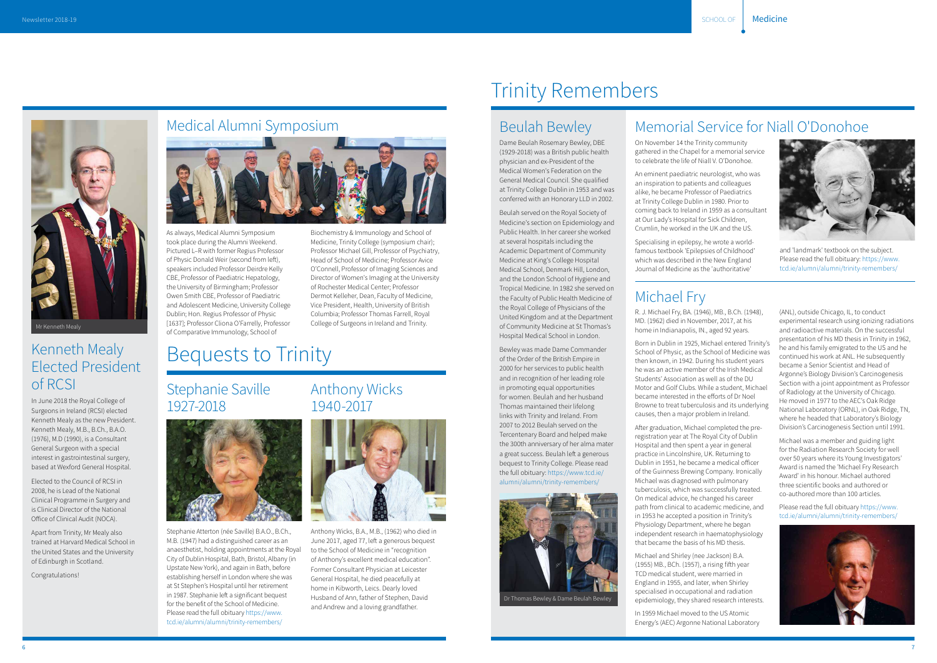

#### Kenneth Mealy Elected President of RCSI

In June 2018 the Royal College of Surgeons in Ireland (RCSI) elected Kenneth Mealy as the new President. Kenneth Mealy, M.B., B.Ch., B.A.O. (1976), M.D (1990), is a Consultant General Surgeon with a special interest in gastrointestinal surgery, based at Wexford General Hospital.

Elected to the Council of RCSI in 2008, he is Lead of the National Clinical Programme in Surgery and is Clinical Director of the National Office of Clinical Audit (NOCA).

Apart from Trinity, Mr Mealy also trained at Harvard Medical School in the United States and the University of Edinburgh in Scotland.

Congratulations!



#### Medical Alumni Symposium



As always, Medical Alumni Symposium took place during the Alumni Weekend. Pictured L–R with former Regius Professor of Physic Donald Weir (second from left), speakers included Professor Deirdre Kelly CBE, Professor of Paediatric Hepatology, the University of Birmingham; Professor Owen Smith CBE, Professor of Paediatric and Adolescent Medicine, University College Dublin; Hon. Regius Professor of Physic [1637]; Professor Cliona O'Farrelly, Professor of Comparative Immunology, School of

Biochemistry & Immunology and School of Medicine, Trinity College (symposium chair); Professor Michael Gill, Professor of Psychiatry, Head of School of Medicine; Professor Avice O'Connell, Professor of Imaging Sciences and Director of Women's Imaging at the University of Rochester Medical Center; Professor Dermot Kelleher, Dean, Faculty of Medicine, Vice President, Health, University of British Columbia; Professor Thomas Farrell, Royal College of Surgeons in Ireland and Trinity.

#### Anthony Wicks 1940-2017



Anthony Wicks, B.A., M.B., (1962) who died in June 2017, aged 77, left a generous bequest to the School of Medicine in "recognition of Anthony's excellent medical education". Former Consultant Physician at Leicester General Hospital, he died peacefully at home in Kibworth, Leics. Dearly loved Husband of Ann, father of Stephen, David and Andrew and a loving grandfather.

Stephanie Saville 1927-2018

Stephanie Atterton (née Saville) B.A.O., B.Ch., M.B. (1947) had a distinguished career as an anaesthetist, holding appointments at the Royal City of Dublin Hospital, Bath, Bristol, Albany (in Upstate New York), and again in Bath, before establishing herself in London where she was at St Stephen's Hospital until her retirement in 1987. Stephanie left a significant bequest for the benefit of the School of Medicine. Please read the full obituary [https://www.](https://www.tcd.ie/alumni/alumni/trinity-remembers/) [tcd.ie/alumni/alumni/trinity-remembers/](https://www.tcd.ie/alumni/alumni/trinity-remembers/)



## Bequests to Trinity

# Trinity Remembers

#### Memorial Service for Niall O'Donohoe

On November 14 the Trinity community gathered in the Chapel for a memorial service to celebrate the life of Niall V. O'Donohoe.

An eminent paediatric neurologist, who was an inspiration to patients and colleagues alike, he became Professor of Paediatrics at Trinity College Dublin in 1980. Prior to coming back to Ireland in 1959 as a consultant at Our Lady's Hospital for Sick Children, Crumlin, he worked in the UK and the US.

Specialising in epilepsy, he wrote a worldfamous textbook 'Epilepsies of Childhood' which was described in the New England Journal of Medicine as the 'authoritative'



and 'landmark' textbook on the subject. Please read the full obituary: [https://www.](https://www.tcd.ie/alumni/alumni/trinity-remembers/) [tcd.ie/alumni/alumni/trinity-remembers/](https://www.tcd.ie/alumni/alumni/trinity-remembers/) 

#### Michael Fry

R. J. Michael Fry, BA. (1946), MB., B.Ch. (1948), MD. (1962) died in November, 2017, at his home in Indianapolis, IN., aged 92 years.

Born in Dublin in 1925, Michael entered Trinity's School of Physic, as the School of Medicine was then known, in 1942. During his student years he was an active member of the Irish Medical Students' Association as well as of the DU Motor and Golf Clubs. While a student, Michael became interested in the efforts of Dr Noel Browne to treat tuberculosis and its underlying causes, then a major problem in Ireland.

After graduation, Michael completed the preregistration year at The Royal City of Dublin Hospital and then spent a year in general practice in Lincolnshire, UK. Returning to Dublin in 1951, he became a medical officer of the Guinness Brewing Company. Ironically Michael was diagnosed with pulmonary tuberculosis, which was successfully treated. On medical advice, he changed his career path from clinical to academic medicine, and in 1953 he accepted a position in Trinity's Physiology Department, where he began independent research in haematophysiology that became the basis of his MD thesis.

Michael and Shirley (nee Jackson) B.A. (1955) MB., BCh. (1957), a rising fifth year TCD medical student, were married in England in 1955, and later, when Shirley specialised in occupational and radiation epidemiology, they shared research interests.

In 1959 Michael moved to the US Atomic Energy's (AEC) Argonne National Laboratory

(ANL), outside Chicago, IL, to conduct experimental research using ionizing radiations and radioactive materials. On the successful presentation of his MD thesis in Trinity in 1962, he and his family emigrated to the US and he continued his work at ANL. He subsequently became a Senior Scientist and Head of Argonne's Biology Division's Carcinogenesis Section with a joint appointment as Professor of Radiology at the University of Chicago. He moved in 1977 to the AEC's Oak Ridge National Laboratory (ORNL), in Oak Ridge, TN, where he headed that Laboratory's Biology Division's Carcinogenesis Section until 1991.

Michael was a member and guiding light for the Radiation Research Society for well over 50 years where its Young Investigators' Award is named the 'Michael Fry Research Award' in his honour. Michael authored three scientific books and authored or co-authored more than 100 articles.

Please read the full obituary [https://www.](https://www.tcd.ie/alumni/alumni/trinity-remembers/) [tcd.ie/alumni/alumni/trinity-remembers/](https://www.tcd.ie/alumni/alumni/trinity-remembers/)



#### Beulah Bewley

Dame Beulah Rosemary Bewley, DBE (1929-2018) was a British public health physician and ex-President of the Medical Women's Federation on the General Medical Council. She qualified at Trinity College Dublin in 1953 and was conferred with an Honorary LLD in 2002.

Beulah served on the Royal Society of Medicine's section on Epidemiology and Public Health. In her career she worked at several hospitals including the Academic Department of Community Medicine at King's College Hospital Medical School, Denmark Hill, London, and the London School of Hygiene and Tropical Medicine. In 1982 she served on the Faculty of Public Health Medicine of the Royal College of Physicians of the United Kingdom and at the Department of Community Medicine at St Thomas's Hospital Medical School in London.

Bewley was made Dame Commander of the Order of the British Empire in 2000 for her services to public health and in recognition of her leading role in promoting equal opportunities for women. Beulah and her husband Thomas maintained their lifelong links with Trinity and Ireland. From 2007 to 2012 Beulah served on the Tercentenary Board and helped make the 300th anniversary of her alma mater a great success. Beulah left a generous bequest to Trinity College. Please read the full obituary: [https://www.tcd.ie/](https://www.tcd.ie/alumni/alumni/trinity-remembers/) [alumni/alumni/trinity-remembers/](https://www.tcd.ie/alumni/alumni/trinity-remembers/)